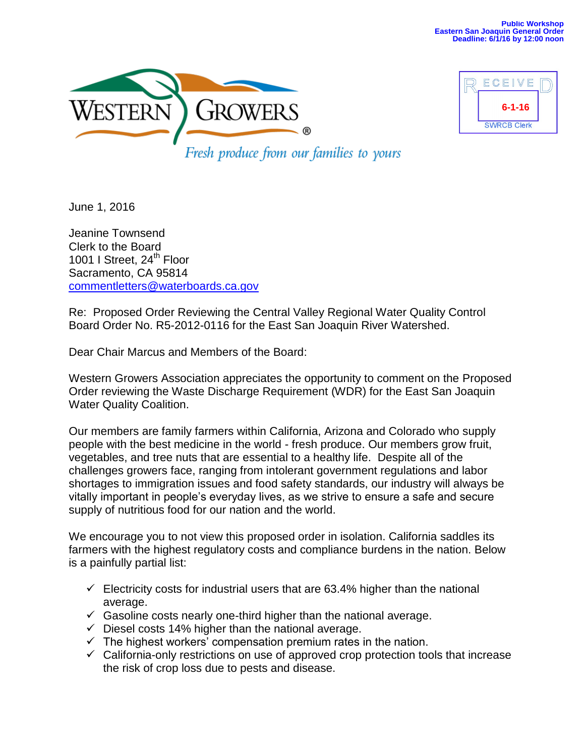



Fresh produce from our families to yours

June 1, 2016

Jeanine Townsend Clerk to the Board 1001 I Street, 24<sup>th</sup> Floor Sacramento, CA 95814 [commentletters@waterboards.ca.gov](mailto:commentletters@waterboards.ca.gov)

Re: Proposed Order Reviewing the Central Valley Regional Water Quality Control Board Order No. R5-2012-0116 for the East San Joaquin River Watershed.

Dear Chair Marcus and Members of the Board:

Western Growers Association appreciates the opportunity to comment on the Proposed Order reviewing the Waste Discharge Requirement (WDR) for the East San Joaquin Water Quality Coalition.

Our members are family farmers within California, Arizona and Colorado who supply people with the best medicine in the world - fresh produce. Our members grow fruit, vegetables, and tree nuts that are essential to a healthy life. Despite all of the challenges growers face, ranging from intolerant government regulations and labor shortages to immigration issues and food safety standards, our industry will always be vitally important in people's everyday lives, as we strive to ensure a safe and secure supply of nutritious food for our nation and the world.

We encourage you to not view this proposed order in isolation. California saddles its farmers with the highest regulatory costs and compliance burdens in the nation. Below is a painfully partial list:

- $\checkmark$  Electricity costs for industrial users that are 63.4% higher than the national average.
- $\checkmark$  Gasoline costs nearly one-third higher than the national average.
- $\checkmark$  Diesel costs 14% higher than the national average.
- $\checkmark$  The highest workers' compensation premium rates in the nation.
- $\checkmark$  California-only restrictions on use of approved crop protection tools that increase the risk of crop loss due to pests and disease.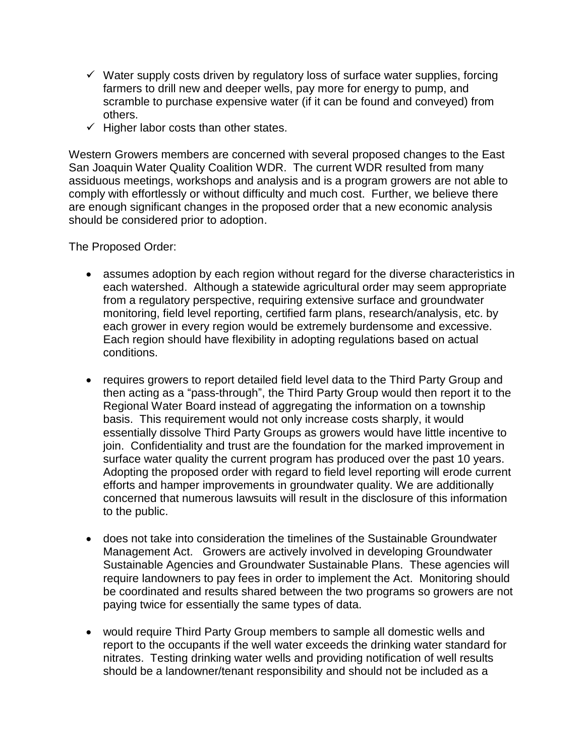- $\checkmark$  Water supply costs driven by regulatory loss of surface water supplies, forcing farmers to drill new and deeper wells, pay more for energy to pump, and scramble to purchase expensive water (if it can be found and conveyed) from others.
- $\checkmark$  Higher labor costs than other states.

Western Growers members are concerned with several proposed changes to the East San Joaquin Water Quality Coalition WDR. The current WDR resulted from many assiduous meetings, workshops and analysis and is a program growers are not able to comply with effortlessly or without difficulty and much cost. Further, we believe there are enough significant changes in the proposed order that a new economic analysis should be considered prior to adoption.

The Proposed Order:

- assumes adoption by each region without regard for the diverse characteristics in each watershed. Although a statewide agricultural order may seem appropriate from a regulatory perspective, requiring extensive surface and groundwater monitoring, field level reporting, certified farm plans, research/analysis, etc. by each grower in every region would be extremely burdensome and excessive. Each region should have flexibility in adopting regulations based on actual conditions.
- requires growers to report detailed field level data to the Third Party Group and then acting as a "pass-through", the Third Party Group would then report it to the Regional Water Board instead of aggregating the information on a township basis. This requirement would not only increase costs sharply, it would essentially dissolve Third Party Groups as growers would have little incentive to join. Confidentiality and trust are the foundation for the marked improvement in surface water quality the current program has produced over the past 10 years. Adopting the proposed order with regard to field level reporting will erode current efforts and hamper improvements in groundwater quality. We are additionally concerned that numerous lawsuits will result in the disclosure of this information to the public.
- does not take into consideration the timelines of the Sustainable Groundwater Management Act. Growers are actively involved in developing Groundwater Sustainable Agencies and Groundwater Sustainable Plans. These agencies will require landowners to pay fees in order to implement the Act. Monitoring should be coordinated and results shared between the two programs so growers are not paying twice for essentially the same types of data.
- would require Third Party Group members to sample all domestic wells and report to the occupants if the well water exceeds the drinking water standard for nitrates. Testing drinking water wells and providing notification of well results should be a landowner/tenant responsibility and should not be included as a